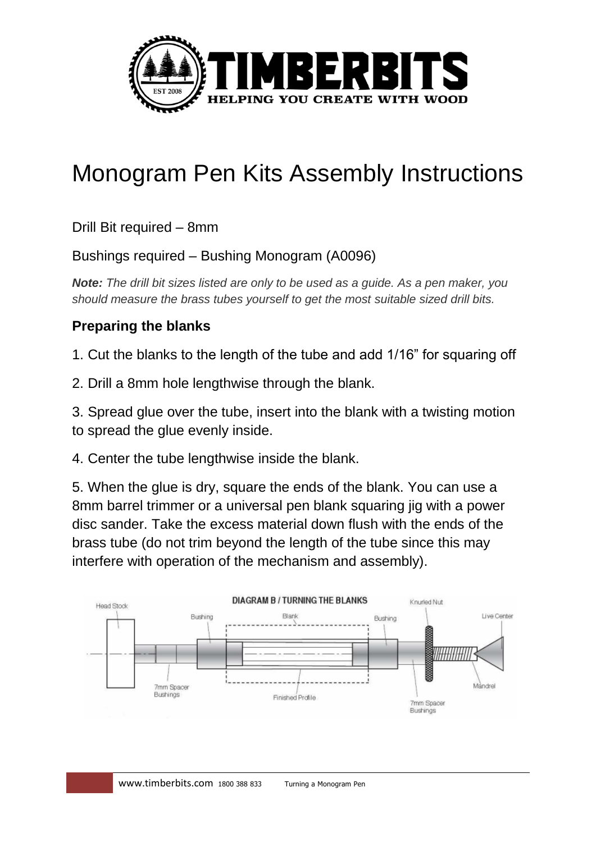

# Monogram Pen Kits Assembly Instructions

Drill Bit required – 8mm

#### Bushings required – Bushing Monogram (A0096)

*Note: The drill bit sizes listed are only to be used as a guide. As a pen maker, you should measure the brass tubes yourself to get the most suitable sized drill bits.*

#### **Preparing the blanks**

1. Cut the blanks to the length of the tube and add 1/16" for squaring off

2. Drill a 8mm hole lengthwise through the blank.

3. Spread glue over the tube, insert into the blank with a twisting motion to spread the glue evenly inside.

4. Center the tube lengthwise inside the blank.

5. When the glue is dry, square the ends of the blank. You can use a 8mm barrel trimmer or a universal pen blank squaring jig with a power disc sander. Take the excess material down flush with the ends of the brass tube (do not trim beyond the length of the tube since this may interfere with operation of the mechanism and assembly).

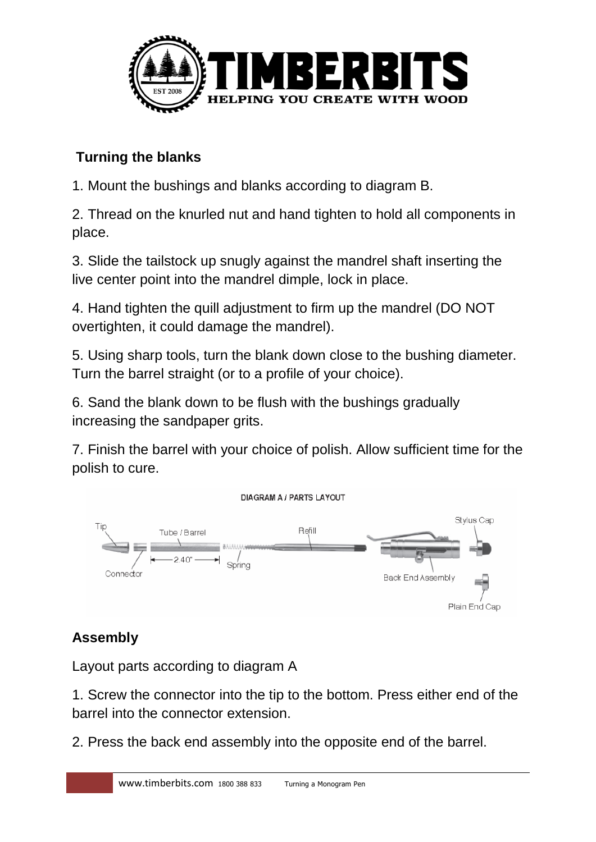

### **Turning the blanks**

1. Mount the bushings and blanks according to diagram B.

2. Thread on the knurled nut and hand tighten to hold all components in place.

3. Slide the tailstock up snugly against the mandrel shaft inserting the live center point into the mandrel dimple, lock in place.

4. Hand tighten the quill adjustment to firm up the mandrel (DO NOT overtighten, it could damage the mandrel).

5. Using sharp tools, turn the blank down close to the bushing diameter. Turn the barrel straight (or to a profile of your choice).

6. Sand the blank down to be flush with the bushings gradually increasing the sandpaper grits.

7. Finish the barrel with your choice of polish. Allow sufficient time for the polish to cure.



## **Assembly**

Layout parts according to diagram A

1. Screw the connector into the tip to the bottom. Press either end of the barrel into the connector extension.

2. Press the back end assembly into the opposite end of the barrel.